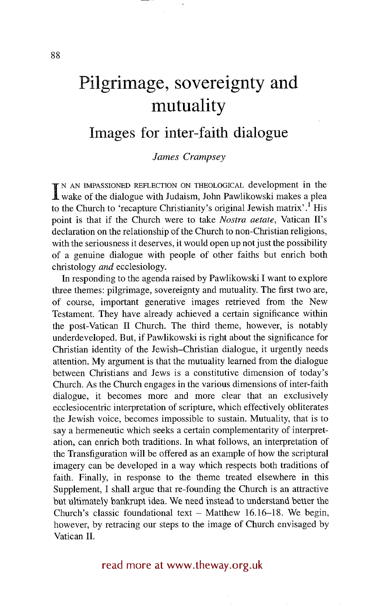# **Pilgrimage, sovereignty and mutuality**

## **Images for inter-faith dialogue**

### *James Crampsey*

**I** N AN IMPASSIONED REFLECTION ON THEOLOGICAL development in the wake of the dialogue with Judaism, John Pawlikowski makes a plea to the Church to 'recapture Christianity's original Jewish matrix'.<sup>1</sup> His point is that if the Church were to take *Nostra aerate,* Vatican II's declaration on the relationship of the Church to non-Christian religions, with the seriousness it deserves, it would open up not just the possibility of a genuine dialogue with people of other faiths but enrich both christology *and* ecclesiology.

In responding to the agenda raised by Pawlikowski I want to explore three themes: pilgrimage, sovereignty and mutuality. The first two are, of course, important generative images retrieved from the New Testament. They have already achieved a certain significance within the post-Vatican II Church. The third theme, however, is notably underdeveloped. But, if Pawlikowski is right about the significance for Christian identity of the Jewish-Christian dialogue, it urgently needs attention. My argument is that the mutuality learned from the dialogue between Christians and Jews is a constitutive dimension of today's Church. As the Church engages in the various dimensions of inter-faith dialogue, it becomes more and more clear that an exclusively ecclesiocentric interpretation of scripture, which effectively obliterates the Jewish voice, becomes impossible to sustain. Mutuality, that is to say a hermeneutic which seeks a certain complementarity of interpretation, can enrich both traditions. In what follows, an interpretation of the Transfiguration will be offered as an example of how the scriptural imagery can be developed in a way which respects both traditions of faith. Finally, in response to the theme treated elsewhere in this Supplement, I shall argue that re-founding the Church is an attractive but ultimately bankrupt idea. We need instead to understand better the Church's classic foundational text  $-$  Matthew 16.16–18. We begin, however, by retracing our steps to the image of Church envisaged by Vatican II.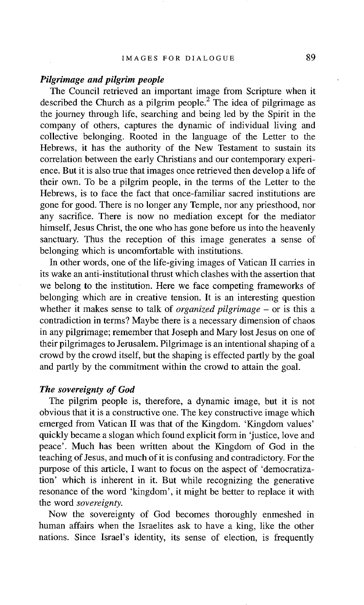#### *Pilgrimage and pilgrim people*

The Council retrieved an important image from Scripture when it described the Church as a pilgrim people.<sup>2</sup> The idea of pilgrimage as the journey through life, searching and being led by the Spirit in the company of others, captures the dynamic of individual living and collective belonging. Rooted in the language of the Letter to the Hebrews, it has the authority of the New Testament to sustain its correlation between the early Christians and our contemporary experience. But it is also true that images once retrieved then develop a life of their own. To be a pilgrim people, in the terms of the Letter to the Hebrews, is to face the fact that once-familiar sacred institutions are gone for good. There is no longer any Temple, nor any priesthood, nor any sacrifice. There is now no mediation except for the mediator himself, Jesus Christ, the one who has gone before us into the heavenly sanctuary. Thus the reception of this image generates a sense of belonging which is uncomfortable with institutions.

In other words, one of the life-giving images of Vatican II carries in its wake an anti-institutional thrust which clashes with the assertion that we belong to the institution. Here we face competing frameworks of belonging which are in creative tension. It is an interesting question whether it makes sense to talk of *organized pilgrimage -* or is this a contradiction in terms? Maybe there is a necessary dimension of chaos in any pilgrimage; remember that Joseph and Mary lost Jesus on one of their pilgrimages to Jerusalem. Pilgrimage is an intentional shaping of a crowd by the crowd itself, but the shaping is effected partly by the goal and partly by the commitment within the crowd to attain the goal.

#### *The sovereignty of God*

The pilgrim people is, therefore, a dynamic image, but it is not obvious that it is a constructive one. The key constructive image which emerged from Vatican II was that of the Kingdom. 'Kingdom values' quickly became a slogan which found explicit form in 'justice, love and peace'. Much has been written about the Kingdom of God in the teaching of Jesus, and much of it is confusing and contradictory. For the purpose of this article, I want to focus on the aspect of 'democratization' which is inherent in it. But while recognizing the generative resonance of the word 'kingdom', it might be better to replace it with the word *sovereignty.* 

Now the sovereignty of God becomes thoroughly enmeshed in human affairs when the Israelites ask to have a king, like the other nations. Since Israel's identity, its sense of election, is frequently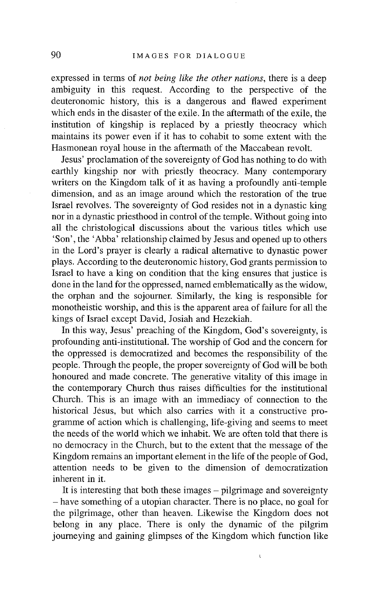expressed in terms of *not being like the other nations,* there is a deep ambiguity in this request. According to the perspective of the deuteronomic history, this is a dangerous and flawed experiment which ends in the disaster of the exile. In the aftermath of the exile, the institution of kingship is replaced by a priestly theocracy which maintains its power even if it has to cohabit to some extent with the Hasmonean royal house in the aftermath of the Maccabean revolt.

Jesus' proclamation of the sovereignty of God has nothing to do with earthly kingship nor with priestly theocracy. Many contemporary writers on the Kingdom talk of it as having a profoundly anti-temple dimension, and as an image around which the restoration of the true Israel revolves. The sovereignty of God resides not in a dynastic king nor in a dynastic priesthood in control of the temple. Without going into all the christological discussions about the various titles which use 'Son', the 'Abba' relationship claimed by Jesus and opened up to others in the Lord's prayer is clearly a radical alternative to dynastic power plays. According to the deuteronomic history, God grants permission to Israel to have a king on condition that the king ensures that justice is done in the land for the oppressed, named emblematically as the widow, the orphan and the sojourner. Similarly, the king is responsible for monotheistic worship, and this is the apparent area of failure for all the kings of Israel except David, Josiah and Hezekiah.

In this way, Jesus' preaching of the Kingdom, God's sovereignty, is profounding anti-institutional. The worship of God and the concern for the oppressed is democratized and becomes the responsibility of the people. Through the people, the proper sovereignty of God will be both honoured and made concrete. The generative vitality of this image in the contemporary Church thus raises difficulties for the institutional Church. This is an image with an immediacy of connection to the historical Jesus, but which also carries with it a constructive programme of action which is challenging, life-giving and seems to meet the needs of the world which we inhabit. We are often told that there is no democracy in the Church, but to the extent that the message of the Kingdom remains an important element in the life of the people of God, attention needs to be given to the dimension of democratization inherent in it.

It is interesting that both these images  $-$  pilgrimage and sovereignty - have something of a utopian character. There is no place, no goal for the pilgrimage, other than heaven. Likewise the Kingdom does not belong in any place. There is only the dynamic of the pilgrim journeying and gaining glimpses of the Kingdom which function like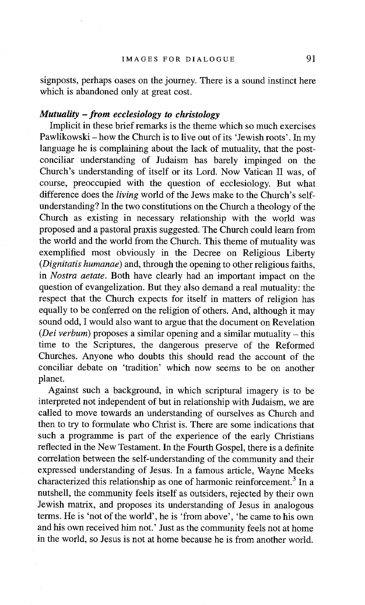signposts, perhaps oases on the journey. There is a sound instinct here which is abandoned only at great cost.

### *Mutuality -from ecclesiology to christology*

Implicit in these brief remarks is the theme which so much exercises Pawlikowski – how the Church is to live out of its 'Jewish roots'. In my language he is complaining about the lack of mutuality, that the postconciliar understanding of Judaism has barely impinged on the Church's understanding of itself or its Lord. Now Vatican II was, of course, preoccupied with the question of ecclesiology. But what difference does the *living* world of the Jews make to the Church's selfunderstanding? In the two constitutions on the Church a theology of the Church as existing in necessary relationship with the world was proposed and a pastoral praxis suggested. The Church could learn from the world and the world from the Church. This theme of mutuality was exemplified most obviously in the Decree on Religious Liberty *(Dignitatis humanae)* and, through the opening to other religious faiths, in *Nostra aetate.* Both have clearly had an important impact on the question of evangelization. But they also demand a real mutuality: the respect that the Church expects for itself in matters of religion has equally to be conferred on the religion of others. And, although it may sound odd, I would also want to argue that the document on Revelation *(Dei verbum)* proposes a similar opening and a similar mutuality – this time to the Scriptures, the dangerous preserve of the Reformed Churches. Anyone who doubts this should read the account of the conciliar debate on 'tradition' which now seems to be on another planet.

Against such a background, in which scriptural imagery is to be interpreted not independent of but in relationship with Judaism, we are called to move towards an understanding of ourselves as Church and then to try to formulate who Christ is. There are some indications that such a programme is part of the experience of the early Christians reflected in the New Testament. In the Fourth Gospel, there is a definite correlation between the self-understanding of the community and their expressed understanding of Jesus. In a famous article, Wayne Meeks characterized this relationship as one of harmonic reinforcement.<sup>3</sup> In a nutshell, the community feels itself as outsiders, rejected by their own Jewish matrix, and proposes its understanding of Jesus in analogous terms. He is 'not of the world', he is 'from above', 'he came to his own and his own received him not.' Just as the community feels not at home in the world, so Jesus is not at home because he is from another world.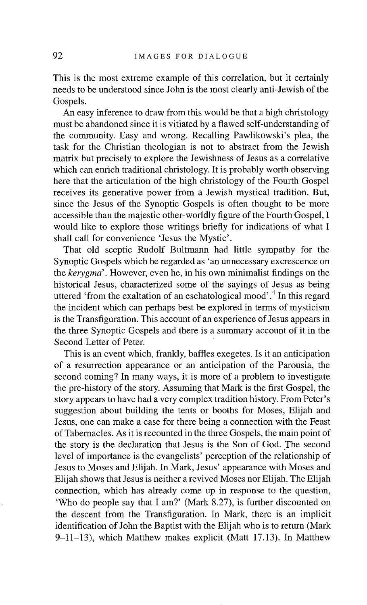This is the most extreme example of this correlation, but it certainly needs to be understood since John is the most clearly anti-Jewish of the Gospels.

An easy inference to draw from this would be that a high christology must be abandoned since it is vitiated by a flawed self-understanding of the community. Easy and wrong. Recalling Pawlikowski's plea, the task for the Christian theologian is not to abstract from the Jewish matrix but precisely to explore the Jewishness of Jesus as a correlative which can enrich traditional christology. It is probably worth observing here that the articulation of the high christology of the Fourth Gospel receives its generative power from a Jewish mystical tradition. But, since the Jesus of the Synoptic Gospels is often thought to be more accessible than the majestic other-worldly figure of the Fourth Gospel, I would like to explore those writings briefly for indications of what I shall call for convenience 'Jesus the Mystic'.

That old sceptic Rudolf Bultmann had little sympathy for the Synoptic Gospels which he regarded as 'an unnecessary excrescence on the *kerygma'.* However, even he, in his own minimalist findings on the historical Jesus, characterized some of the sayings of Jesus as being uttered 'from the exaltation of an eschatological mood'.4 In this regard the incident which can perhaps best be explored in terms of mysticism is the Transfiguration. This account of an experience of Jesus appears in the three Synoptic Gospels and there is a summary account of it in the Second Letter of Peter.

This is an event which, frankly, baffles exegetes. Is it an anticipation of a resurrection appearance or an anticipation of the Parousia, the second coming? In many ways, it is more of a problem to investigate the pre-history of the story. Assuming that Mark is the first Gospel, the story appears to have had a very complex tradition history. From Peter's suggestion about building the tents or booths for Moses, Elijah and Jesus, one can make a case for there being a connection with the Feast of Tabernacles. As it is recounted in the three Gospels, the main point of the story is the declaration that Jesus is the Son of God. The second level of importance is the evangelists' perception of the relationship of Jesus to Moses and Elijah. In Mark, Jesus' appearance with Moses and Elijah shows that Jesus is neither a revived Moses nor Elijah. The Elijah connection, which has already come up in response to the question, 'Who do people say that I am?' (Mark 8.27), is further discounted on the descent from the Transfiguration. In Mark, there is an implicit identification of John the Baptist with the Elijah who is to return (Mark 9-11-13), which Matthew makes explicit (Matt 17.13). In Matthew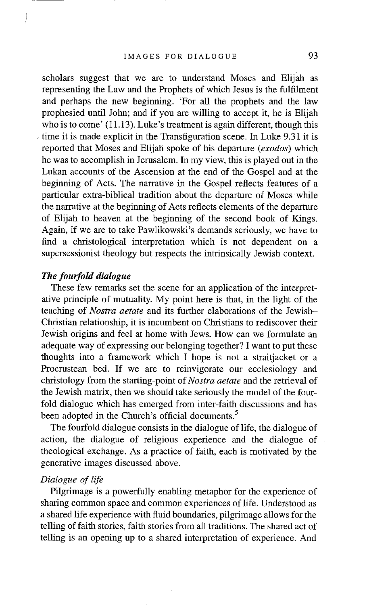scholars suggest that we are to understand Moses and Elijah as representing the Law and the Prophets of which Jesus is the fulfilment and perhaps the new beginning. 'For all the prophets and the law prophesied until John; and if you are willing to accept it, he is Elijah who is to come' (11.13). Luke's treatment is again different, though this time it is made explicit in the Transfiguration scene. In Luke 9.31 it is reported that Moses and Elijah spoke of his departure *(exodos)* which he was to accomplish in Jerusalem. In my view, this is played out in the Lukan accounts of the Ascension at the end of the Gospel and at the beginning of Acts. The narrative in the Gospel reflects features of a particular extra-biblical tradition about the departure of Moses while the narrative at the beginning of Acts reflects elements of the departure of Elijah to heaven at the beginning of the second book of Kings. Again, if we are to take Pawlikowski's demands seriously, we have to find a christological interpretation which is not dependent on a supersessionist theology but respects the intrinsically Jewish context.

#### *The fourfold dialogue*

These few remarks set the scene for an application of the interpretative principle of mutuality. My point here is that, in the light of the teaching of *Nostra aerate* and its further elaborations of the Jewish-Christian relationship, it is incumbent on Christians to rediscover their Jewish origins and feel at home with Jews. How can we formulate an adequate way of expressing our belonging together? I want to put these thoughts into a framework which I hope is not a straitjacket or a Procrustean bed. If we are to reinvigorate our ecclesiology and christology from the starting-point of *Nostra aetate* and the retrieval of the Jewish matrix, then we should take seriously the model of the fourfold dialogue which has emerged from inter-faith discussions and has been adopted in the Church's official documents.<sup>5</sup>

The fourfold dialogue consists in the dialogue of life, the dialogue of action, the dialogue of religious experience and the dialogue of theological exchange. As a practice of faith, each is motivated by the generative images discussed above.

### *Dialogue of life*

Pilgrimage is a powerfully enabling metaphor for the experience of sharing common space and common experiences of life. Understood as a shared life experience with fluid boundaries, pilgrimage allows for the telling of faith stories, faith stories from all traditions. The shared act of telling is an opening up to a shared interpretation of experience. And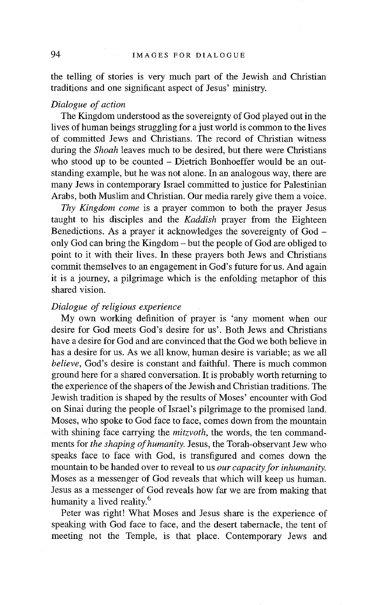the telling of stories is very much part of the Jewish and Christian traditions and one significant aspect of Jesus' ministry.

#### *Dialogue of action*

The Kingdom understood as the sovereignty of God played out in the lives of human beings struggling for a just world is common to the lives of committed Jews and Christians. The record of Christian witness during the *Shoah* leaves much to be desired, but there were Christians who stood up to be counted - Dietrich Bonhoeffer would be an outstanding example, but he was not alone. In an analogous way, there are many Jews in contemporary Israel committed to justice for Palestinian Arabs, both Muslim and Christian. Our media rarely give them a voice.

*Thy Kingdom come* is a prayer common to both the prayer Jesus taught to his disciples and the *Kaddish* prayer from the Eighteen Benedictions. As a prayer it acknowledges the sovereignty of God – only God can bring the Kingdom - but the people of God are obliged to point to it with their lives. In these prayers both Jews and Christians commit themselves to an engagement in God's future for us. And again it is a journey, a pilgrimage which is the enfolding metaphor of this shared vision.

#### *Dialogue of religious experience*

My own working definition of prayer is 'any moment when our desire for God meets God's desire for us'. Both Jews and Christians have a desire for God and are convinced that the God we both believe in has a desire for us. As we all know, human desire is variable; as we all *believe,* God's desire is constant and faithful. There is much common ground here for a shared conversation. It is probably worth returning to the experience of the shapers of the Jewish and Christian traditions. The Jewish tradition is shaped by the results of Moses' encounter with God on Sinai during the people of Israel's pilgrimage to the promised land. Moses, who spoke to God face to face, comes down from the mountain with shining face carrying the *mitzvoth*, the words, the ten commandments for *the shaping of humanity.* Jesus, the Torah-observant Jew who speaks face to face with God, is transfigured and comes down the mountain to be handed over to reveal to us *our capacity for inhumanity.*  Moses as a messenger of God reveals that which will keep us human. Jesus as a messenger of God reveals how far we are from making that humanity a lived reality.<sup>6</sup>

Peter was right! What Moses and Jesus share is the experience of speaking with God face to face, and the desert tabernacle, the tent of meeting not the Temple, is that place. Contemporary Jews and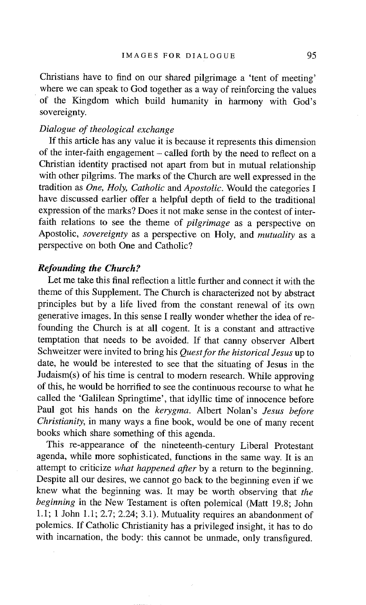Christians have to find on our shared pilgrimage a 'tent of meeting' where we can speak to God together as a way of reinforcing the values of the Kingdom which build humanity in harmony with God's sovereignty.

#### *Dialogue of theological exchange*

If this article has any value it is because it represents this dimension of the inter-faith engagement  $-$  called forth by the need to reflect on a Christian identity practised not apart from but in mutual relationship with other pilgrims. The marks of the Church are well expressed in the tradition as *One, Holy, Catholic* and *Apostolic.* Would the categories I have discussed earlier offer a helpful depth of field to the traditional expression of the marks? Does it not make sense in the contest of interfaith relations to see the theme of *pilgrimage* as a perspective on Apostolic, *sovereignty* as a perspective on Holy, and *mutuality* as a perspective on both One and Catholic?

### *Refounding the Church?*

Let me take this final reflection a little further and connect it with the theme of this Supplement. The Church is characterized not by abstract principles but by a life lived from the constant renewal of its own generative images. In this sense I really wonder whether the idea of refounding the Church is at all cogent. It is a constant and attractive temptation that needs to be avoided. If that canny observer Albert Schweitzer were invited to bring his *Quest for the historical Jesus* up to date, he would be interested to see that the situating of Jesus in the Judaism(s) of his time is central to modern research. While approving of this, he would be horrified to see the continuous recourse to what he called the 'Galilean Springtime', that idyllic time of innocence before Paul got his hands on the *kerygma.* Albert Nolan's *Jesus before Christianity,* in many ways a fine book, would be one of many recent books which share something of this agenda.

This re-appearance of the nineteenth-century Liberal Protestant agenda, while more sophisticated, functions in the same way. It is an attempt to criticize *what happened after* by a return to the beginning. Despite all our desires, we cannot go back to the beginning even if we knew what the beginning was. It may be worth observing that *the beginning* in the New Testament is often polemical (Matt 19.8; John 1.1; 1 John 1.1; 2.7; 2.24; 3.1). Mutuality requires an abandonment of polemics. If Catholic Christianity has a privileged insight, it has to do with incarnation, the body: this cannot be unmade, only transfigured.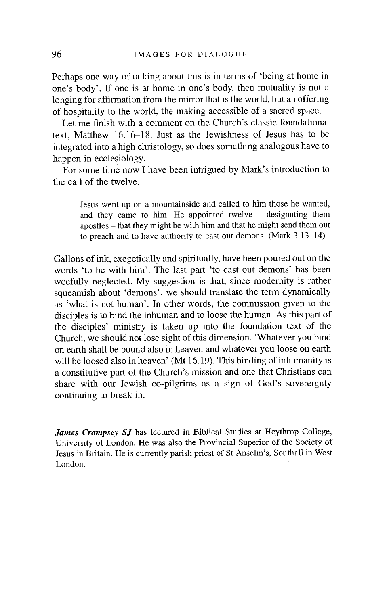Perhaps one way of talking about this is in terms of 'being at home in one's body'. If one is at home in one's body, then mutuality is not a longing for affirmation from the mirror that is the world, but an offering of hospitality to the world, the making accessible of a sacred space.

Let me finish with a comment on the Church's classic foundational text, Matthew 16.16-18. Just as the Jewishness of Jesus has to be integrated into a high christology, so does something analogous have to happen in ecclesiology.

For some time now I have been intrigued by Mark's introduction to the call of the twelve.

Jesus went up on a mountainside and called to him those he wanted, and they came to him. He appointed twelve  $-$  designating them apostles - that they might be with him and that he might send them out to preach and to have authority to cast out demons. (Mark 3.13-14)

Gallons of ink, exegetically and spiritually, have been poured out on the words 'to be with him'. The last part 'to cast out demons' has been woefully neglected. My suggestion is that, since modernity is rather squeamish about 'demons', we should translate the term dynamically as 'what is not human'. In other words, the commission given to the disciples is to bind the inhuman and to loose the human. As this part of the disciples' ministry is taken up into the foundation text of the Church, we should not lose sight of this dimension. 'Whatever you bind on earth shall be bound also in heaven and whatever you loose on earth will be loosed also in heaven' (Mt 16.19). This binding of inhumanity is a constitutive part of the Church's mission and one that Christians can share with our Jewish co-pilgrims as a sign of God's sovereignty continuing to break in.

*James Crampsey SJ* has lectured in Biblical Studies at Heythrop College, University of London. He was also the Provincial Superior of the Society of Jesus in Britain. He is currently parish priest of St Anselm's, Southall in West London.